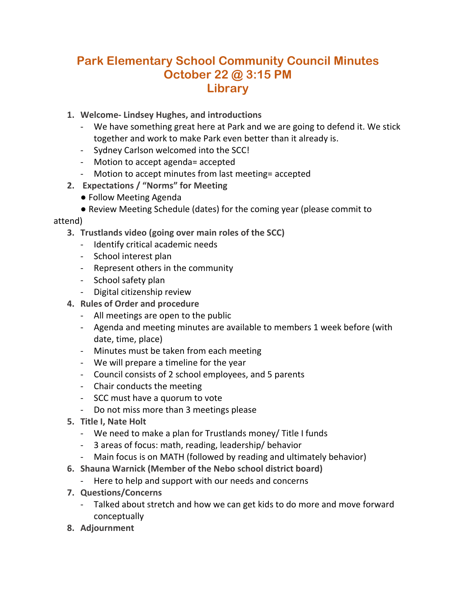## **Park Elementary School Community Council Minutes October 22 @ 3:15 PM Library**

- **1. Welcome- Lindsey Hughes, and introductions**
	- We have something great here at Park and we are going to defend it. We stick together and work to make Park even better than it already is.
	- Sydney Carlson welcomed into the SCC!
	- Motion to accept agenda= accepted
	- Motion to accept minutes from last meeting= accepted
- **2. Expectations / "Norms" for Meeting** 
	- Follow Meeting Agenda
	- Review Meeting Schedule (dates) for the coming year (please commit to

## attend)

- **3. Trustlands video (going over main roles of the SCC)**
	- Identify critical academic needs
	- School interest plan
	- Represent others in the community
	- School safety plan
	- Digital citizenship review
- **4. Rules of Order and procedure** 
	- All meetings are open to the public
	- Agenda and meeting minutes are available to members 1 week before (with date, time, place)
	- Minutes must be taken from each meeting
	- We will prepare a timeline for the year
	- Council consists of 2 school employees, and 5 parents
	- Chair conducts the meeting
	- SCC must have a quorum to vote
	- Do not miss more than 3 meetings please
- **5. Title I, Nate Holt** 
	- We need to make a plan for Trustlands money/ Title I funds
	- 3 areas of focus: math, reading, leadership/ behavior
	- Main focus is on MATH (followed by reading and ultimately behavior)
- **6. Shauna Warnick (Member of the Nebo school district board)**
	- Here to help and support with our needs and concerns
- **7. Questions/Concerns**
	- Talked about stretch and how we can get kids to do more and move forward conceptually
- **8. Adjournment**